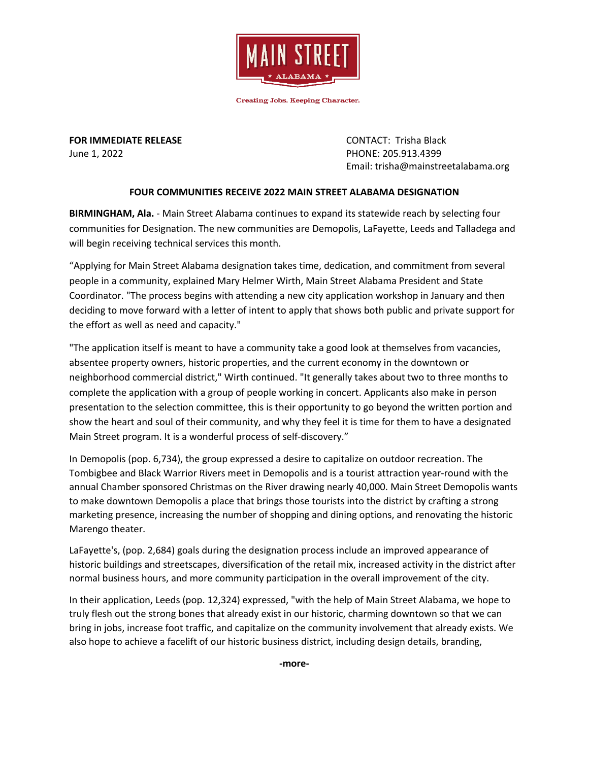

**Creating Jobs. Keeping Character.** 

**FOR IMMEDIATE RELEASE CONTACT: Trisha Black** June 1, 2022 PHONE: 205.913.4399

Email: trisha@mainstreetalabama.org

## **FOUR COMMUNITIES RECEIVE 2022 MAIN STREET ALABAMA DESIGNATION**

**BIRMINGHAM, Ala.** - Main Street Alabama continues to expand its statewide reach by selecting four communities for Designation. The new communities are Demopolis, LaFayette, Leeds and Talladega and will begin receiving technical services this month.

"Applying for Main Street Alabama designation takes time, dedication, and commitment from several people in a community, explained Mary Helmer Wirth, Main Street Alabama President and State Coordinator. "The process begins with attending a new city application workshop in January and then deciding to move forward with a letter of intent to apply that shows both public and private support for the effort as well as need and capacity."

"The application itself is meant to have a community take a good look at themselves from vacancies, absentee property owners, historic properties, and the current economy in the downtown or neighborhood commercial district," Wirth continued. "It generally takes about two to three months to complete the application with a group of people working in concert. Applicants also make in person presentation to the selection committee, this is their opportunity to go beyond the written portion and show the heart and soul of their community, and why they feel it is time for them to have a designated Main Street program. It is a wonderful process of self-discovery."

In Demopolis (pop. 6,734), the group expressed a desire to capitalize on outdoor recreation. The Tombigbee and Black Warrior Rivers meet in Demopolis and is a tourist attraction year-round with the annual Chamber sponsored Christmas on the River drawing nearly 40,000. Main Street Demopolis wants to make downtown Demopolis a place that brings those tourists into the district by crafting a strong marketing presence, increasing the number of shopping and dining options, and renovating the historic Marengo theater.

LaFayette's, (pop. 2,684) goals during the designation process include an improved appearance of historic buildings and streetscapes, diversification of the retail mix, increased activity in the district after normal business hours, and more community participation in the overall improvement of the city.

In their application, Leeds (pop. 12,324) expressed, "with the help of Main Street Alabama, we hope to truly flesh out the strong bones that already exist in our historic, charming downtown so that we can bring in jobs, increase foot traffic, and capitalize on the community involvement that already exists. We also hope to achieve a facelift of our historic business district, including design details, branding,

**-more-**